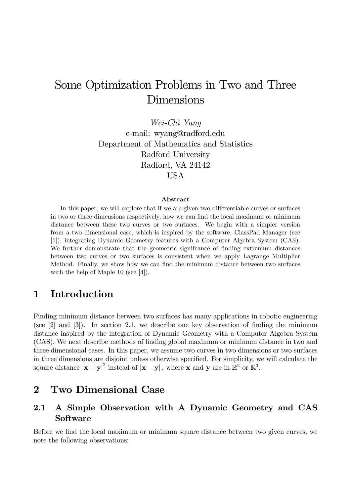# Some Optimization Problems in Two and Three Dimensions

Wei-Chi Yang e-mail: wyang@radford.edu Department of Mathematics and Statistics Radford University Radford, VA 24142 USA

#### Abstract

In this paper, we will explore that if we are given two differentiable curves or surfaces in two or three dimensions respectively, how we can find the local maximum or minimum distance between these two curves or two surfaces. We begin with a simpler version from a two dimensional case, which is inspired by the software, ClassPad Manager (see [1]), integrating Dynamic Geometry features with a Computer Algebra System (CAS). We further demonstrate that the geometric significance of finding extremum distances between two curves or two surfaces is consistent when we apply Lagrange Multiplier Method. Finally, we show how we can find the minimum distance between two surfaces with the help of Maple 10 (see [4]).

#### 1 Introduction

Finding minimum distance between two surfaces has many applications in robotic engineering (see  $[2]$  and  $[3]$ ). In section 2.1, we describe one key observation of finding the minimum distance inspired by the integration of Dynamic Geometry with a Computer Algebra System (CAS). We next describe methods of Önding global maximum or minimum distance in two and three dimensional cases. In this paper, we assume two curves in two dimensions or two surfaces in three dimensions are disjoint unless otherwise specified. For simplicity, we will calculate the square distance  $|\mathbf{x} - \mathbf{y}|^2$  instead of  $|\mathbf{x} - \mathbf{y}|$ , where **x** and **y** are in  $\mathbb{R}^2$  or  $\mathbb{R}^3$ .

#### 2 Two Dimensional Case

#### 2.1 A Simple Observation with A Dynamic Geometry and CAS Software

Before we find the local maximum or minimum square distance between two given curves, we note the following observations: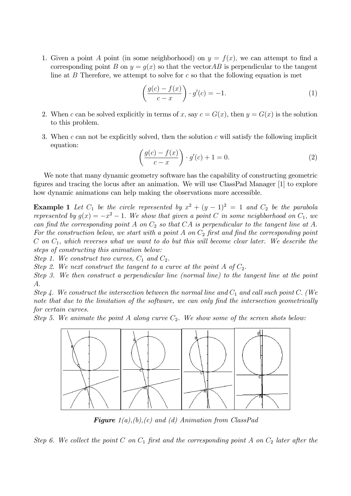1. Given a point A point (in some neighborhood) on  $y = f(x)$ , we can attempt to find a corresponding point B on  $y = q(x)$  so that the vector AB is perpendicular to the tangent line at  $B$  Therefore, we attempt to solve for c so that the following equation is met

$$
\left(\frac{g(c) - f(x)}{c - x}\right) \cdot g'(c) = -1.
$$
\n(1)

- 2. When c can be solved explicitly in terms of x, say  $c = G(x)$ , then  $y = G(x)$  is the solution to this problem.
- 3. When c can not be explicitly solved, then the solution c will satisfy the following implicit equation:

$$
\left(\frac{g(c) - f(x)}{c - x}\right) \cdot g'(c) + 1 = 0.
$$
\n(2)

We note that many dynamic geometry software has the capability of constructing geometric Ögures and tracing the locus after an animation. We will use ClassPad Manager [1] to explore how dynamic animations can help making the observations more accessible.

**Example 1** Let  $C_1$  be the circle represented by  $x^2 + (y - 1)^2 = 1$  and  $C_2$  be the parabola represented by  $g(x) = -x^2 - 1$ . We show that given a point C in some neighborhood on  $C_1$ , we can find the corresponding point A on  $C_2$  so that CA is perpendicular to the tangent line at A. For the construction below, we start with a point A on  $C_2$  first and find the corresponding point C on  $C_1$ , which reverses what we want to do but this will become clear later. We describe the steps of constructing this animation below:

Step 1. We construct two curves,  $C_1$  and  $C_2$ .

Step 2. We next construct the tangent to a curve at the point A of  $C_2$ .

Step 3. We then construct a perpendicular line (normal line) to the tangent line at the point A:

Step 4. We construct the intersection between the normal line and  $C_1$  and call such point C. (We note that due to the limitation of the software, we can only find the intersection geometrically for certain curves.

Step 5. We animate the point A along curve  $C_2$ . We show some of the screen shots below:



**Figure**  $1(a),(b),(c)$  and (d) Animation from ClassPad

Step 6. We collect the point C on  $C_1$  first and the corresponding point A on  $C_2$  later after the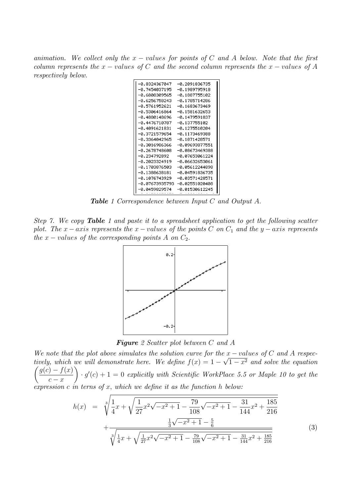animation. We collect only the  $x$  – values for points of C and A below. Note that the first column represents the  $x$  - values of C and the second column represents the  $x$  - values of A respectively below.

| -0.8324367047  | -0.2091836735  |
|----------------|----------------|
| -0.7454037195  | -0.1989795918  |
| -0.6808309565  | -0.1887755102  |
| -0.6256758243  | -0.1785714286  |
| -0.5761952621  | -0.1683673469  |
| -0.5306416864  | -0.1581632653  |
| -0.4880148696  | -0.1479591837  |
| -0.4476710787  | -0.137755102   |
| -0.4091621831  | -0.1275510204  |
| -0.3721579654  | -0.1173469388  |
| -0.3364042965  | -0.1071428571  |
| -0.3016986366  | -0.09693877551 |
| -0.2678748608  | -0.08673469388 |
| -0.234792892   | -0.07653061224 |
| -0.2023324919  | -0.06632653061 |
| -0.1703876503  | -0.05612244898 |
| -0.1388638181  | -0.04591836735 |
| -0.1076743929  | -0.03571428571 |
| -0.07673935793 | -0.02551020408 |
| -й. й459829574 | -0.01530612245 |

Table 1 Correspondence between Input C and Output A.

Step 7. We copy Table 1 and paste it to a spreadsheet application to get the following scatter plot. The x-axis represents the x-values of the points C on  $C_1$  and the y-axis represents the  $x$  – values of the corresponding points A on  $C_2$ .



Figure 2 Scatter plot between C and A

We note that the plot above simulates the solution curve for the  $x$  -values of C and A respectively, which we will demonstrate here. We define  $f(x) = 1 - \sqrt{1 - x^2}$  and solve the equation  $\int g(c) - f(x)$  $c - x$  $\lambda$  $g'(c) + 1 = 0$  explicitly with Scientific WorkPlace 5.5 or Maple 10 to get the expression  $c$  in terns of  $x$ , which we define it as the function  $h$  below:

$$
h(x) = \sqrt[3]{\frac{1}{4}x + \sqrt{\frac{1}{27}x^2\sqrt{-x^2+1} - \frac{79}{108}\sqrt{-x^2+1} - \frac{31}{144}x^2 + \frac{185}{216}} + \frac{\frac{1}{3}\sqrt{-x^2+1} - \frac{5}{6}}{\sqrt[3]{\frac{1}{4}x + \sqrt{\frac{1}{27}x^2\sqrt{-x^2+1} - \frac{79}{108}\sqrt{-x^2+1} - \frac{31}{144}x^2 + \frac{185}{216}}}}
$$
(3)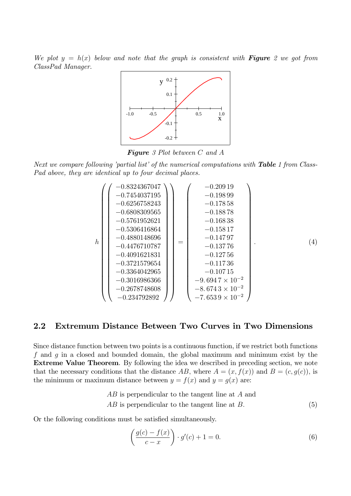We plot  $y = h(x)$  below and note that the graph is consistent with **Figure** 2 we got from ClassPad Manager.



**Figure** 3 Plot between C and A

Next we compare following 'partial list' of the numerical computations with **Table** 1 from Class-Pad above, they are identical up to four decimal places.

$$
h\n\n(4)\n\n(5)\n\n(1) 0.3721579654\n\n(2) 0.3721579654\n\n(3) -0.3880148696\n\n(4) -0.4476710787\n\n(5) -0.4991621831\n\n(5) -0.3364042965\n\n(6) -0.3364042965\n\n(7) -0.3364042965\n\n(8) -0.10715\n\n(9) -0.10715\n\n(1) -0.2678748608\n\n(2) -0.234792892\n\n(3) -0.10715\n\n(4) -0.234792892\n\n(-0.234792892\n\n(-0.234792892\n\n(-0.26539 × 10-2\n\n(-0.26539 × 10-2\n\n(-0.26539 × 10-2\n\n(-0.26539 × 10-2\n\n(-0.26539 × 10-2\n\n(-0.26539 × 10-2\n\n(-0.26539 × 10-2\n\n(-0.26539 × 10-2\n\n(-0.26539 × 10-2\n\n(-0.26539 × 10-2\n\n(-0.26539 × 10-2\n\n(-0.26539 × 10-2\n\n(-0.26539 × 10-2\n\n(-0.26539 × 10-2\n\n(-0.26539 × 10-2\n\n(-0.26539 × 10-2\n\n(-0.26539 × 10-2\n\n(-0.26539 × 10-2\n\n(-0.26539 × 10-2\n\n(-0.26539
$$

#### 2.2 Extremum Distance Between Two Curves in Two Dimensions

Since distance function between two points is a continuous function, if we restrict both functions f and q in a closed and bounded domain, the global maximum and minimum exist by the Extreme Value Theorem. By following the idea we described in preceding section, we note that the necessary conditions that the distance AB, where  $A = (x, f(x))$  and  $B = (c, g(c))$ , is the minimum or maximum distance between  $y = f(x)$  and  $y = g(x)$  are:

$$
AB \text{ is perpendicular to the tangent line at } A \text{ and}
$$
\n
$$
AB \text{ is perpendicular to the tangent line at } B. \tag{5}
$$

Or the following conditions must be satisfied simultaneously.

$$
\left(\frac{g(c)-f(x)}{c-x}\right) \cdot g'(c) + 1 = 0. \tag{6}
$$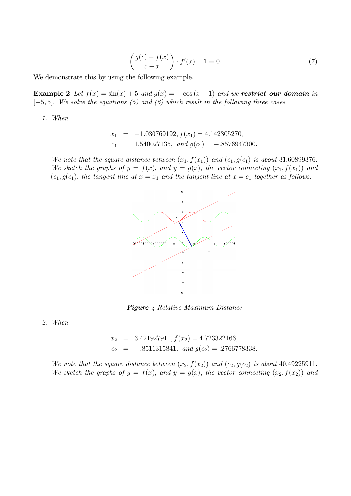$$
\left(\frac{g(c) - f(x)}{c - x}\right) \cdot f'(x) + 1 = 0. \tag{7}
$$

We demonstrate this by using the following example.

**Example 2** Let  $f(x) = \sin(x) + 5$  and  $g(x) = -\cos(x - 1)$  and we **restrict our domain** in  $[-5, 5]$ . We solve the equations (5) and (6) which result in the following three cases

1. When

$$
x_1 = -1.030769192
$$
,  $f(x_1) = 4.142305270$ ,  
\n $c_1 = 1.540027135$ , and  $g(c_1) = -.8576947300$ .

We note that the square distance between  $(x_1, f(x_1))$  and  $(c_1, g(c_1))$  is about 31.60899376. We sketch the graphs of  $y = f(x)$ , and  $y = g(x)$ , the vector connecting  $(x_1, f(x_1))$  and  $(c_1, g(c_1))$ , the tangent line at  $x = x_1$  and the tangent line at  $x = c_1$  together as follows:



Figure 4 Relative Maximum Distance

2. When

$$
x_2
$$
 = 3.421927911,  $f(x_2)$  = 4.723322166,  
 $c_2$  = -.8511315841, and  $g(c_2)$  = .2766778338.

We note that the square distance between  $(x_2, f(x_2))$  and  $(c_2, g(c_2))$  is about 40.49225911. We sketch the graphs of  $y = f(x)$ , and  $y = g(x)$ , the vector connecting  $(x_2, f(x_2))$  and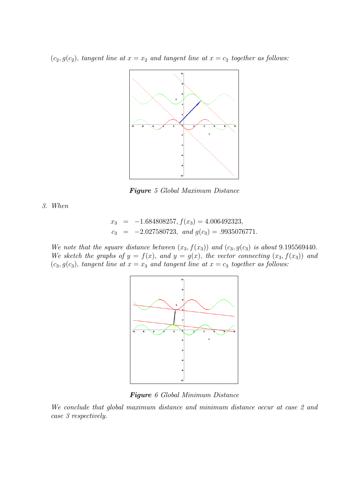$(c_2, g(c_2))$ , tangent line at  $x = x_2$  and tangent line at  $x = c_2$  together as follows:



Figure 5 Global Maximum Distance

3. When

$$
x_3 = -1.684808257
$$
,  $f(x_3) = 4.006492323$ ,  
\n $c_3 = -2.027580723$ , and  $g(c_3) = .9935076771$ .

We note that the square distance between  $(x_3, f(x_3))$  and  $(c_3, g(c_3))$  is about 9.195569440. We sketch the graphs of  $y = f(x)$ , and  $y = g(x)$ , the vector connecting  $(x_3, f(x_3))$  and  $(c_3, g(c_3))$ , tangent line at  $x = x_3$  and tangent line at  $x = c_3$  together as follows:



Figure 6 Global Minimum Distance

We conclude that global maximum distance and minimum distance occur at case 2 and case 3 respectively.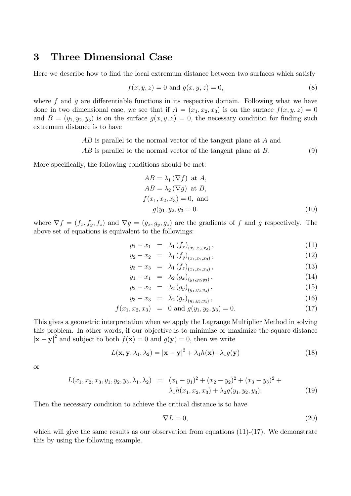#### 3 Three Dimensional Case

Here we describe how to find the local extremum distance between two surfaces which satisfy

$$
f(x, y, z) = 0 \text{ and } g(x, y, z) = 0,
$$
\n(8)

where f and g are differentiable functions in its respective domain. Following what we have done in two dimensional case, we see that if  $A = (x_1, x_2, x_3)$  is on the surface  $f(x, y, z) = 0$ and  $B = (y_1, y_2, y_3)$  is on the surface  $g(x, y, z) = 0$ , the necessary condition for finding such extremum distance is to have

> AB is parallel to the normal vector of the tangent plane at A and  $AB$  is parallel to the normal vector of the tangent plane at  $B$ . (9)

More specifically, the following conditions should be met:

$$
AB = \lambda_1 (\nabla f) \text{ at } A,
$$
  
\n
$$
AB = \lambda_2 (\nabla g) \text{ at } B,
$$
  
\n
$$
f(x_1, x_2, x_3) = 0, \text{ and}
$$
  
\n
$$
g(y_1, y_2, y_3 = 0).
$$
\n(10)

where  $\nabla f = (f_x, f_y, f_z)$  and  $\nabla g = (g_x, g_y, g_z)$  are the gradients of f and g respectively. The above set of equations is equivalent to the followings:

$$
y_1 - x_1 = \lambda_1 \left( f_x \right)_{(x_1, x_2, x_3)}, \tag{11}
$$

$$
y_2 - x_2 = \lambda_1 \left( f_y \right)_{(x_1, x_2, x_3)}, \tag{12}
$$

$$
y_3 - x_3 = \lambda_1(f_z)_{(x_1, x_2, x_3)}, \tag{13}
$$

$$
y_1 - x_1 = \lambda_2 (g_x)_{(y_1, y_2, y_3)}, \tag{14}
$$
\n
$$
y_2 - x_2 = \lambda_2 (g_x)_{(y_1, y_2, y_3)}, \tag{15}
$$

$$
y_2 - x_2 = \lambda_2 (g_y)_{(y_1, y_2, y_3)},
$$
\n
$$
y_2 - x_2 = \lambda_2 (g_y)_{(y_1, y_2, y_3)},
$$
\n
$$
(15)
$$
\n
$$
(16)
$$

$$
y_3 - x_3 = \lambda_2 (g_z)_{(y_1, y_2, y_3)}, \tag{16}
$$

$$
f(x_1, x_2, x_3) = 0 \text{ and } g(y_1, y_2, y_3) = 0. \tag{17}
$$

This gives a geometric interpretation when we apply the Lagrange Multiplier Method in solving this problem. In other words, if our objective is to minimize or maximize the square distance  $|\mathbf{x} - \mathbf{y}|^2$  and subject to both  $f(\mathbf{x}) = 0$  and  $g(\mathbf{y}) = 0$ , then we write

$$
L(\mathbf{x}, \mathbf{y}, \lambda_1, \lambda_2) = |\mathbf{x} - \mathbf{y}|^2 + \lambda_1 h(\mathbf{x}) + \lambda_1 g(\mathbf{y})
$$
\n(18)

or

$$
L(x_1, x_2, x_3, y_1, y_2, y_3, \lambda_1, \lambda_2) = (x_1 - y_1)^2 + (x_2 - y_2)^2 + (x_3 - y_3)^2 + \lambda_1 h(x_1, x_2, x_3) + \lambda_2 g(y_1, y_2, y_3); \tag{19}
$$

Then the necessary condition to achieve the critical distance is to have

$$
\nabla L = 0,\t(20)
$$

which will give the same results as our observation from equations  $(11)-(17)$ . We demonstrate this by using the following example.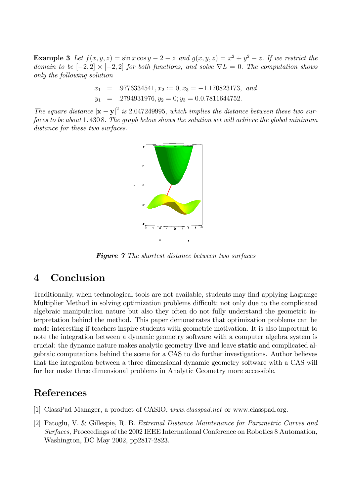**Example 3** Let  $f(x, y, z) = \sin x \cos y - 2 - z$  and  $g(x, y, z) = x^2 + y^2 - z$ . If we restrict the domain to be  $[-2, 2] \times [-2, 2]$  for both functions, and solve  $\nabla L = 0$ . The computation shows only the following solution

> $x_1 = .9776334541, x_2 := 0, x_3 = -1.170823173, and$  $y_1$  =  $.2794931976, y_2$  = 0;  $y_3$  = 0.0.7811644752.

The square distance  $|\mathbf{x} - \mathbf{y}|^2$  is 2.047249995, which implies the distance between these two surfaces to be about 1.4308. The graph below shows the solution set will achieve the global minimum distance for these two surfaces.



**Figure 7** The shortest distance between two surfaces

## 4 Conclusion

Traditionally, when technological tools are not available, students may find applying Lagrange Multiplier Method in solving optimization problems difficult; not only due to the complicated algebraic manipulation nature but also they often do not fully understand the geometric interpretation behind the method. This paper demonstrates that optimization problems can be made interesting if teachers inspire students with geometric motivation. It is also important to note the integration between a dynamic geometry software with a computer algebra system is crucial: the dynamic nature makes analytic geometry live and leave static and complicated algebraic computations behind the scene for a CAS to do further investigations. Author believes that the integration between a three dimensional dynamic geometry software with a CAS will further make three dimensional problems in Analytic Geometry more accessible.

### References

- [1] ClassPad Manager, a product of CASIO, www.classpad.net or www.classpad.org.
- [2] Patoglu, V. & Gillespie, R. B. Extremal Distance Maintenance for Parametric Curves and Surfaces, Proceedings of the 2002 IEEE International Conference on Robotics 8 Automation, Washington, DC May 2002, pp2817-2823.